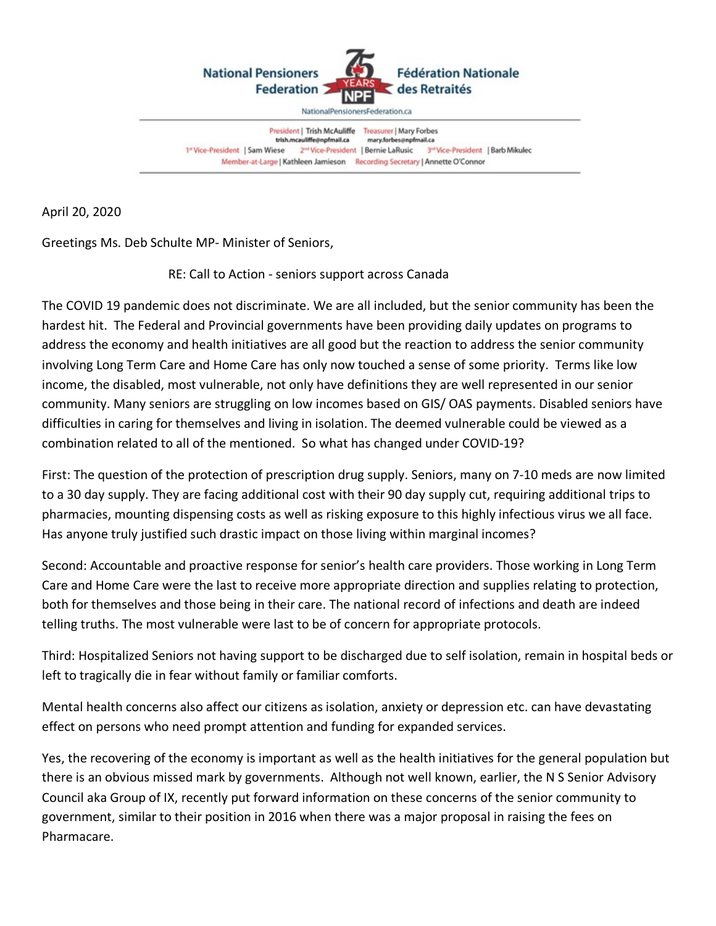

President | Trish McAuliffe Treasurer | Mary Forbes trish.mcauliffe@npfmail.ca mary.forbes@npfmail.ca 1" Vice-President | Sam Wiese 2<sup>nd</sup> Vice-President | Bernie LaRusic 3<sup>rd</sup> Vice-President | Barb Mikulec Member-at-Large | Kathleen Jamieson Recording Secretary | Annette O'Connor

April 20, 2020

Greetings Ms. Deb Schulte MP- Minister of Seniors,

RE: Call to Action - seniors support across Canada

The COVID 19 pandemic does not discriminate. We are all included, but the senior community has been the hardest hit. The Federal and Provincial governments have been providing daily updates on programs to address the economy and health initiatives are all good but the reaction to address the senior community involving Long Term Care and Home Care has only now touched a sense of some priority. Terms like low income, the disabled, most vulnerable, not only have definitions they are well represented in our senior community. Many seniors are struggling on low incomes based on GIS/ OAS payments. Disabled seniors have difficulties in caring for themselves and living in isolation. The deemed vulnerable could be viewed as a combination related to all of the mentioned. So what has changed under COVID-19?

First: The question of the protection of prescription drug supply. Seniors, many on 7-10 meds are now limited to a 30 day supply. They are facing additional cost with their 90 day supply cut, requiring additional trips to pharmacies, mounting dispensing costs as well as risking exposure to this highly infectious virus we all face. Has anyone truly justified such drastic impact on those living within marginal incomes?

Second: Accountable and proactive response for senior's health care providers. Those working in Long Term Care and Home Care were the last to receive more appropriate direction and supplies relating to protection, both for themselves and those being in their care. The national record of infections and death are indeed telling truths. The most vulnerable were last to be of concern for appropriate protocols.

Third: Hospitalized Seniors not having support to be discharged due to self isolation, remain in hospital beds or left to tragically die in fear without family or familiar comforts.

Mental health concerns also affect our citizens as isolation, anxiety or depression etc. can have devastating effect on persons who need prompt attention and funding for expanded services.

Yes, the recovering of the economy is important as well as the health initiatives for the general population but there is an obvious missed mark by governments. Although not well known, earlier, the N S Senior Advisory Council aka Group of IX, recently put forward information on these concerns of the senior community to government, similar to their position in 2016 when there was a major proposal in raising the fees on Pharmacare.